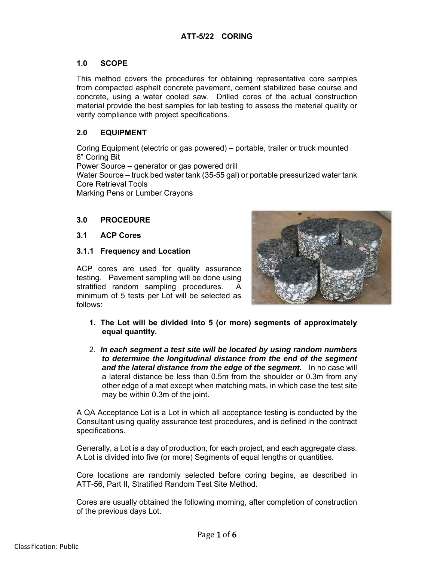## **1.0 SCOPE**

This method covers the procedures for obtaining representative core samples from compacted asphalt concrete pavement, cement stabilized base course and concrete, using a water cooled saw. Drilled cores of the actual construction material provide the best samples for lab testing to assess the material quality or verify compliance with project specifications.

## **2.0 EQUIPMENT**

Coring Equipment (electric or gas powered) – portable, trailer or truck mounted 6" Coring Bit Power Source – generator or gas powered drill Water Source – truck bed water tank (35-55 gal) or portable pressurized water tank Core Retrieval Tools Marking Pens or Lumber Crayons

## **3.0 PROCEDURE**

## **3.1 ACP Cores**

## **3.1.1 Frequency and Location**

ACP cores are used for quality assurance testing. Pavement sampling will be done using stratified random sampling procedures. A minimum of 5 tests per Lot will be selected as follows:



- **1. The Lot will be divided into 5 (or more) segments of approximately equal quantity.**
- 2. *In each segment a test site will be located by using random numbers to determine the longitudinal distance from the end of the segment and the lateral distance from the edge of the segment.* In no case will a lateral distance be less than 0.5m from the shoulder or 0.3m from any other edge of a mat except when matching mats, in which case the test site may be within 0.3m of the joint.

A QA Acceptance Lot is a Lot in which all acceptance testing is conducted by the Consultant using quality assurance test procedures, and is defined in the contract specifications.

Generally, a Lot is a day of production, for each project, and each aggregate class. A Lot is divided into five (or more) Segments of equal lengths or quantities.

Core locations are randomly selected before coring begins, as described in ATT-56, Part II, Stratified Random Test Site Method.

Cores are usually obtained the following morning, after completion of construction of the previous days Lot.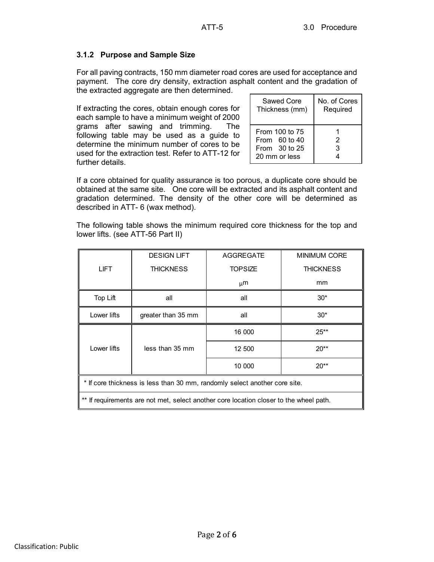# **3.1.2 Purpose and Sample Size**

For all paving contracts, 150 mm diameter road cores are used for acceptance and payment. The core dry density, extraction asphalt content and the gradation of the extracted aggregate are then determined.

If extracting the cores, obtain enough cores for each sample to have a minimum weight of 2000 grams after sawing and trimming. The following table may be used as a guide to determine the minimum number of cores to be used for the extraction test. Refer to ATT-12 for further details.

| Sawed Core                                                            | No. of Cores |  |
|-----------------------------------------------------------------------|--------------|--|
| Thickness (mm)                                                        | Required     |  |
| From 100 to 75<br>From $60$ to 40<br>From $30$ to 25<br>20 mm or less | 2<br>3       |  |

If a core obtained for quality assurance is too porous, a duplicate core should be obtained at the same site. One core will be extracted and its asphalt content and gradation determined. The density of the other core will be determined as described in ATT- 6 (wax method).

The following table shows the minimum required core thickness for the top and lower lifts. (see ATT-56 Part II)

|                                                                            | <b>DESIGN LIFT</b> | <b>AGGREGATE</b> | <b>MINIMUM CORE</b> |
|----------------------------------------------------------------------------|--------------------|------------------|---------------------|
| <b>LIFT</b>                                                                | <b>THICKNESS</b>   | <b>TOPSIZE</b>   | <b>THICKNESS</b>    |
|                                                                            |                    | $\mu$ m          | mm                  |
| Top Lift                                                                   | all                | all              | $30*$               |
| Lower lifts                                                                | greater than 35 mm | all              | $30*$               |
|                                                                            |                    | 16 000           | $25**$              |
| Lower lifts                                                                | less than 35 mm    | 12 500           | $20**$              |
|                                                                            |                    | 10 000           | $20**$              |
| * If core thickness is less than 30 mm, randomly select another core site. |                    |                  |                     |

\*\* If requirements are not met, select another core location closer to the wheel path.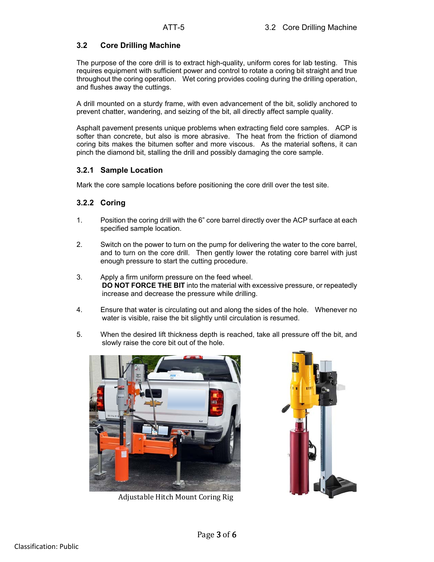## **3.2 Core Drilling Machine**

The purpose of the core drill is to extract high-quality, uniform cores for lab testing. This requires equipment with sufficient power and control to rotate a coring bit straight and true throughout the coring operation. Wet coring provides cooling during the drilling operation, and flushes away the cuttings.

A drill mounted on a sturdy frame, with even advancement of the bit, solidly anchored to prevent chatter, wandering, and seizing of the bit, all directly affect sample quality.

Asphalt pavement presents unique problems when extracting field core samples. ACP is softer than concrete, but also is more abrasive. The heat from the friction of diamond coring bits makes the bitumen softer and more viscous. As the material softens, it can pinch the diamond bit, stalling the drill and possibly damaging the core sample.

## **3.2.1 Sample Location**

Mark the core sample locations before positioning the core drill over the test site.

## **3.2.2 Coring**

- 1. Position the coring drill with the 6" core barrel directly over the ACP surface at each specified sample location.
- 2. Switch on the power to turn on the pump for delivering the water to the core barrel, and to turn on the core drill. Then gently lower the rotating core barrel with just enough pressure to start the cutting procedure.
- 3. Apply a firm uniform pressure on the feed wheel. **DO NOT FORCE THE BIT** into the material with excessive pressure, or repeatedly increase and decrease the pressure while drilling.
- 4. Ensure that water is circulating out and along the sides of the hole. Whenever no water is visible, raise the bit slightly until circulation is resumed.
- 5. When the desired lift thickness depth is reached, take all pressure off the bit, and slowly raise the core bit out of the hole.



Adjustable Hitch Mount Coring Rig

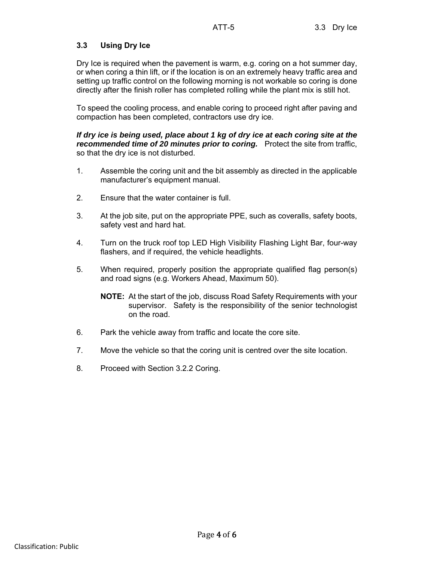# **3.3 Using Dry Ice**

Dry Ice is required when the pavement is warm, e.g. coring on a hot summer day, or when coring a thin lift, or if the location is on an extremely heavy traffic area and setting up traffic control on the following morning is not workable so coring is done directly after the finish roller has completed rolling while the plant mix is still hot.

To speed the cooling process, and enable coring to proceed right after paving and compaction has been completed, contractors use dry ice.

#### *If dry ice is being used, place about 1 kg of dry ice at each coring site at the recommended time of 20 minutes prior to coring.* Protect the site from traffic, so that the dry ice is not disturbed.

- 1. Assemble the coring unit and the bit assembly as directed in the applicable manufacturer's equipment manual.
- 2. Ensure that the water container is full.
- 3. At the job site, put on the appropriate PPE, such as coveralls, safety boots, safety vest and hard hat.
- 4. Turn on the truck roof top LED High Visibility Flashing Light Bar, four-way flashers, and if required, the vehicle headlights.
- 5. When required, properly position the appropriate qualified flag person(s) and road signs (e.g. Workers Ahead, Maximum 50).
	- **NOTE:** At the start of the job, discuss Road Safety Requirements with your supervisor. Safety is the responsibility of the senior technologist on the road.
- 6. Park the vehicle away from traffic and locate the core site.
- 7. Move the vehicle so that the coring unit is centred over the site location.
- 8. Proceed with Section 3.2.2 Coring.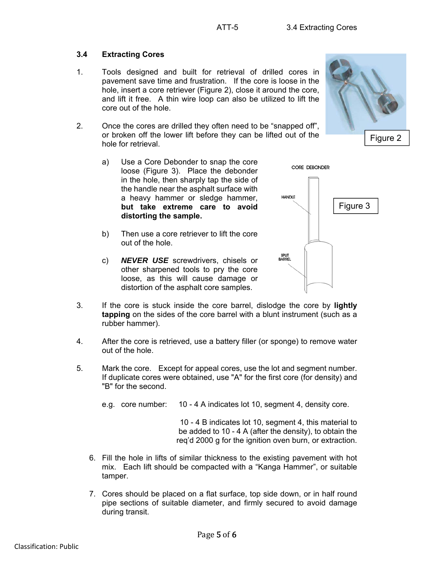# **3.4 Extracting Cores**

- 1. Tools designed and built for retrieval of drilled cores in pavement save time and frustration. If the core is loose in the hole, insert a core retriever (Figure 2), close it around the core, and lift it free. A thin wire loop can also be utilized to lift the core out of the hole.
- 2. Once the cores are drilled they often need to be "snapped off", or broken off the lower lift before they can be lifted out of the hole for retrieval.
	- a) Use a Core Debonder to snap the core loose (Figure 3). Place the debonder in the hole, then sharply tap the side of the handle near the asphalt surface with a heavy hammer or sledge hammer, **but take extreme care to avoid distorting the sample.**
	- b) Then use a core retriever to lift the core out of the hole.
	- c) *NEVER USE* screwdrivers, chisels or other sharpened tools to pry the core loose, as this will cause damage or distortion of the asphalt core samples.



- 3. If the core is stuck inside the core barrel, dislodge the core by **lightly tapping** on the sides of the core barrel with a blunt instrument (such as a rubber hammer).
- 4. After the core is retrieved, use a battery filler (or sponge) to remove water out of the hole.
- 5. Mark the core. Except for appeal cores, use the lot and segment number. If duplicate cores were obtained, use "A" for the first core (for density) and "B" for the second.
	- e.g. core number: 10 4 A indicates lot 10, segment 4, density core.

10 - 4 B indicates lot 10, segment 4, this material to be added to 10 - 4 A (after the density), to obtain the req'd 2000 g for the ignition oven burn, or extraction.

- 6. Fill the hole in lifts of similar thickness to the existing pavement with hot mix. Each lift should be compacted with a "Kanga Hammer", or suitable tamper.
- 7. Cores should be placed on a flat surface, top side down, or in half round pipe sections of suitable diameter, and firmly secured to avoid damage during transit.